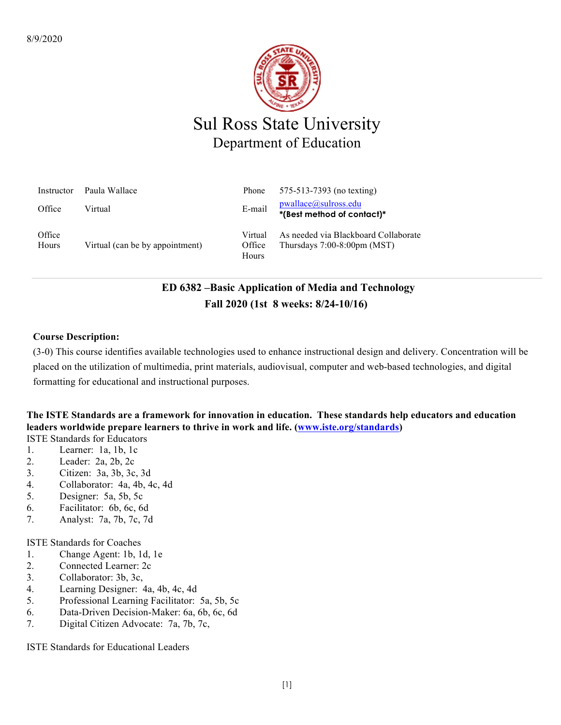

| Instructor      | Paula Wallace                   | Phone                      | 575-513-7393 (no texting)                                                     |
|-----------------|---------------------------------|----------------------------|-------------------------------------------------------------------------------|
| Office          | Virtual                         | E-mail                     | $p$ wallace@sulross.edu<br>*(Best method of contact)*                         |
| Office<br>Hours | Virtual (can be by appointment) | Virtual<br>Office<br>Hours | As needed via Blackboard Collaborate<br>Thursdays $7:00-8:00 \text{pm}$ (MST) |

# **ED 6382 –Basic Application of Media and Technology Fall 2020 (1st 8 weeks: 8/24-10/16)**

### **Course Description:**

(3-0) This course identifies available technologies used to enhance instructional design and delivery. Concentration will be placed on the utilization of multimedia, print materials, audiovisual, computer and web-based technologies, and digital formatting for educational and instructional purposes.

## **The ISTE Standards are a framework for innovation in education. These standards help educators and education leaders worldwide prepare learners to thrive in work and life. (www.iste.org/standards)**

ISTE Standards for Educators

- 1. Learner: 1a, 1b, 1c
- 2. Leader: 2a, 2b, 2c
- 3. Citizen: 3a, 3b, 3c, 3d
- 4. Collaborator: 4a, 4b, 4c, 4d
- 5. Designer: 5a, 5b, 5c
- 6. Facilitator: 6b, 6c, 6d
- 7. Analyst: 7a, 7b, 7c, 7d

ISTE Standards for Coaches

- 1. Change Agent: 1b, 1d, 1e
- 2. Connected Learner: 2c
- 3. Collaborator: 3b, 3c,
- 4. Learning Designer: 4a, 4b, 4c, 4d
- 5. Professional Learning Facilitator: 5a, 5b, 5c
- 6. Data-Driven Decision-Maker: 6a, 6b, 6c, 6d
- 7. Digital Citizen Advocate: 7a, 7b, 7c,

ISTE Standards for Educational Leaders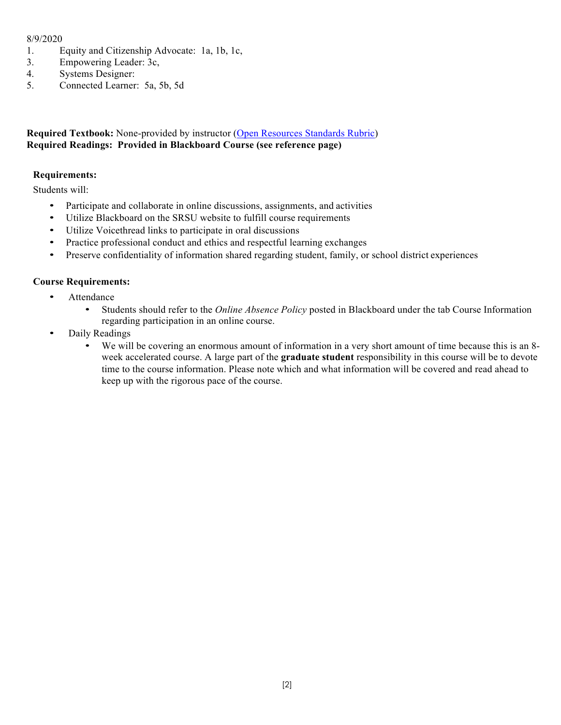### 8/9/2020

- 1. Equity and Citizenship Advocate: 1a, 1b, 1c,
- 3. Empowering Leader: 3c,
- 4. Systems Designer:
- 5. Connected Learner: 5a, 5b, 5d

### **Required Textbook:** None-provided by instructor (Open Resources Standards Rubric) **Required Readings: Provided in Blackboard Course (see reference page)**

### **Requirements:**

Students will:

- Participate and collaborate in online discussions, assignments, and activities
- Utilize Blackboard on the SRSU website to fulfill course requirements
- Utilize Voicethread links to participate in oral discussions
- Practice professional conduct and ethics and respectful learning exchanges
- Preserve confidentiality of information shared regarding student, family, or school district experiences

### **Course Requirements:**

- Attendance
	- Students should refer to the *Online Absence Policy* posted in Blackboard under the tab Course Information regarding participation in an online course.
- Daily Readings
	- We will be covering an enormous amount of information in a very short amount of time because this is an 8 week accelerated course. A large part of the **graduate student** responsibility in this course will be to devote time to the course information. Please note which and what information will be covered and read ahead to keep up with the rigorous pace of the course.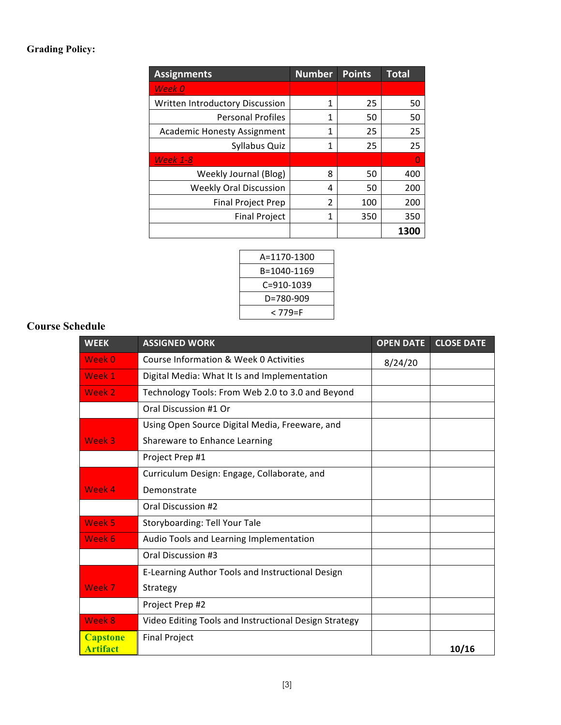### **Grading Policy:**

| <b>Assignments</b>                 | <b>Number</b> | <b>Points</b> | <b>Total</b> |
|------------------------------------|---------------|---------------|--------------|
| <b>Week 0</b>                      |               |               |              |
| Written Introductory Discussion    | 1             | 25            | 50           |
| <b>Personal Profiles</b>           | 1             | 50            | 50           |
| <b>Academic Honesty Assignment</b> | 1             | 25            | 25           |
| Syllabus Quiz                      | 1             | 25            | 25           |
| <b>Week 1-8</b>                    |               |               | O            |
| Weekly Journal (Blog)              | 8             | 50            | 400          |
| <b>Weekly Oral Discussion</b>      | 4             | 50            | 200          |
| <b>Final Project Prep</b>          | 2             | 100           | 200          |
| <b>Final Project</b>               | 1             | 350           | 350          |
|                                    |               |               | 1300         |

| A=1170-1300 |  |
|-------------|--|
| B=1040-1169 |  |
| C=910-1039  |  |
| D=780-909   |  |
| < 779=F     |  |
|             |  |

## **Course Schedule**

| <b>WEEK</b>                        | <b>ASSIGNED WORK</b>                                  | <b>OPEN DATE</b> | <b>CLOSE DATE</b> |
|------------------------------------|-------------------------------------------------------|------------------|-------------------|
| Week 0                             | Course Information & Week 0 Activities                | 8/24/20          |                   |
| Week 1                             | Digital Media: What It Is and Implementation          |                  |                   |
| Week 2                             | Technology Tools: From Web 2.0 to 3.0 and Beyond      |                  |                   |
|                                    | Oral Discussion #1 Or                                 |                  |                   |
|                                    | Using Open Source Digital Media, Freeware, and        |                  |                   |
| Week 3                             | Shareware to Enhance Learning                         |                  |                   |
|                                    | Project Prep #1                                       |                  |                   |
|                                    | Curriculum Design: Engage, Collaborate, and           |                  |                   |
| Week 4                             | Demonstrate                                           |                  |                   |
|                                    | Oral Discussion #2                                    |                  |                   |
| Week 5                             | Storyboarding: Tell Your Tale                         |                  |                   |
| Week 6                             | Audio Tools and Learning Implementation               |                  |                   |
|                                    | Oral Discussion #3                                    |                  |                   |
|                                    | E-Learning Author Tools and Instructional Design      |                  |                   |
| Week 7                             | Strategy                                              |                  |                   |
|                                    | Project Prep #2                                       |                  |                   |
| Week 8                             | Video Editing Tools and Instructional Design Strategy |                  |                   |
| <b>Capstone</b><br><b>Artifact</b> | <b>Final Project</b>                                  |                  | 10/16             |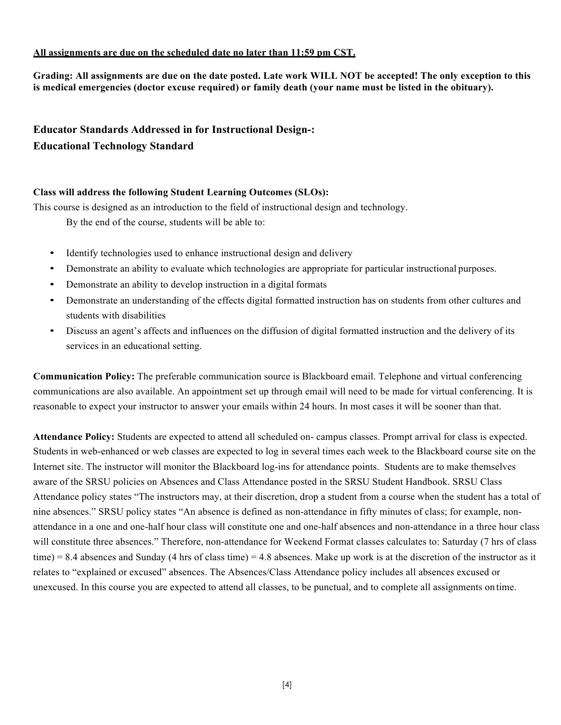#### **All assignments are due on the scheduled date no later than 11:59 pm CST.**

**Grading: All assignments are due on the date posted. Late work WILL NOT be accepted! The only exception to this is medical emergencies (doctor excuse required) or family death (your name must be listed in the obituary).**

## **Educator Standards Addressed in for Instructional Design-: Educational Technology Standard**

### **Class will address the following Student Learning Outcomes (SLOs):**

This course is designed as an introduction to the field of instructional design and technology.

By the end of the course, students will be able to:

- Identify technologies used to enhance instructional design and delivery
- Demonstrate an ability to evaluate which technologies are appropriate for particular instructional purposes.
- Demonstrate an ability to develop instruction in a digital formats
- Demonstrate an understanding of the effects digital formatted instruction has on students from other cultures and students with disabilities
- Discuss an agent's affects and influences on the diffusion of digital formatted instruction and the delivery of its services in an educational setting.

**Communication Policy:** The preferable communication source is Blackboard email. Telephone and virtual conferencing communications are also available. An appointment set up through email will need to be made for virtual conferencing. It is reasonable to expect your instructor to answer your emails within 24 hours. In most cases it will be sooner than that.

**Attendance Policy:** Students are expected to attend all scheduled on- campus classes. Prompt arrival for class is expected. Students in web-enhanced or web classes are expected to log in several times each week to the Blackboard course site on the Internet site. The instructor will monitor the Blackboard log-ins for attendance points. Students are to make themselves aware of the SRSU policies on Absences and Class Attendance posted in the SRSU Student Handbook. SRSU Class Attendance policy states "The instructors may, at their discretion, drop a student from a course when the student has a total of nine absences." SRSU policy states "An absence is defined as non-attendance in fifty minutes of class; for example, nonattendance in a one and one-half hour class will constitute one and one-half absences and non-attendance in a three hour class will constitute three absences." Therefore, non-attendance for Weekend Format classes calculates to: Saturday (7 hrs of class time) = 8.4 absences and Sunday (4 hrs of class time) = 4.8 absences. Make up work is at the discretion of the instructor as it relates to "explained or excused" absences. The Absences/Class Attendance policy includes all absences excused or unexcused. In this course you are expected to attend all classes, to be punctual, and to complete all assignments on time.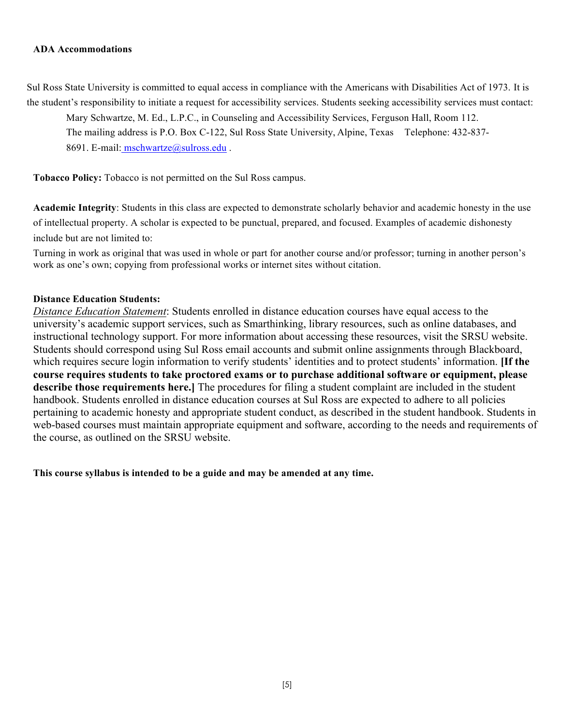#### **ADA Accommodations**

Sul Ross State University is committed to equal access in compliance with the Americans with Disabilities Act of 1973. It is the student's responsibility to initiate a request for accessibility services. Students seeking accessibility services must contact:

Mary Schwartze, M. Ed., L.P.C., in Counseling and Accessibility Services, Ferguson Hall, Room 112.

The mailing address is P.O. Box C-122, Sul Ross State University, Alpine, Texas Telephone: 432-837-

8691. E-mail: mschwartze@sulross.edu .

**Tobacco Policy:** Tobacco is not permitted on the Sul Ross campus.

**Academic Integrity**: Students in this class are expected to demonstrate scholarly behavior and academic honesty in the use of intellectual property. A scholar is expected to be punctual, prepared, and focused. Examples of academic dishonesty include but are not limited to:

Turning in work as original that was used in whole or part for another course and/or professor; turning in another person's work as one's own; copying from professional works or internet sites without citation.

### **Distance Education Students:**

*Distance Education Statement*: Students enrolled in distance education courses have equal access to the university's academic support services, such as Smarthinking, library resources, such as online databases, and instructional technology support. For more information about accessing these resources, visit the SRSU website. Students should correspond using Sul Ross email accounts and submit online assignments through Blackboard, which requires secure login information to verify students' identities and to protect students' information. **[If the course requires students to take proctored exams or to purchase additional software or equipment, please describe those requirements here.]** The procedures for filing a student complaint are included in the student handbook. Students enrolled in distance education courses at Sul Ross are expected to adhere to all policies pertaining to academic honesty and appropriate student conduct, as described in the student handbook. Students in web-based courses must maintain appropriate equipment and software, according to the needs and requirements of the course, as outlined on the SRSU website.

**This course syllabus is intended to be a guide and may be amended at any time.**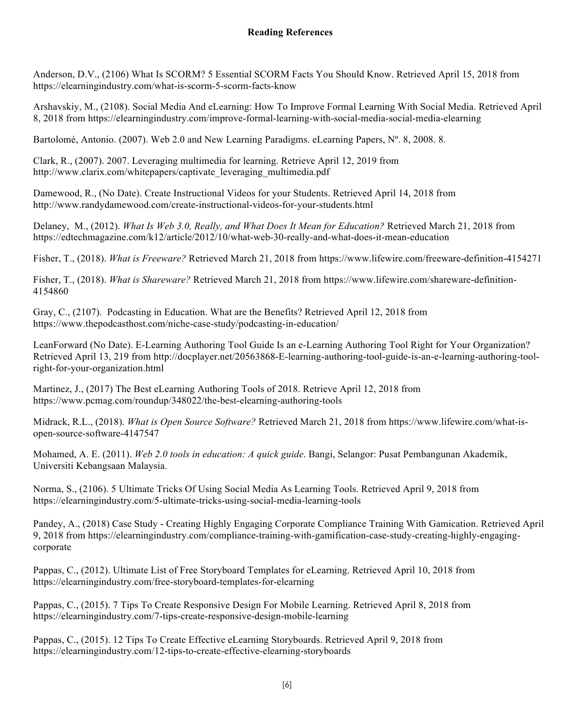Anderson, D.V., (2106) What Is SCORM? 5 Essential SCORM Facts You Should Know. Retrieved April 15, 2018 from https://elearningindustry.com/what-is-scorm-5-scorm-facts-know

Arshavskiy, M., (2108). Social Media And eLearning: How To Improve Formal Learning With Social Media. Retrieved April 8, 2018 from https://elearningindustry.com/improve-formal-learning-with-social-media-social-media-elearning

Bartolomé, Antonio. (2007). Web 2.0 and New Learning Paradigms. eLearning Papers, N° 8, 2008. 8.

Clark, R., (2007). 2007. Leveraging multimedia for learning. Retrieve April 12, 2019 from http://www.clarix.com/whitepapers/captivate\_leveraging\_multimedia.pdf

Damewood, R., (No Date). Create Instructional Videos for your Students. Retrieved April 14, 2018 from http://www.randydamewood.com/create-instructional-videos-for-your-students.html

Delaney, M., (2012). *What Is Web 3.0, Really, and What Does It Mean for Education?* Retrieved March 21, 2018 from https://edtechmagazine.com/k12/article/2012/10/what-web-30-really-and-what-does-it-mean-education

Fisher, T., (2018). *What is Freeware?* Retrieved March 21, 2018 from https://www.lifewire.com/freeware-definition-4154271

Fisher, T., (2018). *What is Shareware?* Retrieved March 21, 2018 from https://www.lifewire.com/shareware-definition-4154860

Gray, C., (2107). Podcasting in Education. What are the Benefits? Retrieved April 12, 2018 from https://www.thepodcasthost.com/niche-case-study/podcasting-in-education/

LeanForward (No Date). E-Learning Authoring Tool Guide Is an e-Learning Authoring Tool Right for Your Organization? Retrieved April 13, 219 from http://docplayer.net/20563868-E-learning-authoring-tool-guide-is-an-e-learning-authoring-toolright-for-your-organization.html

Martinez, J., (2017) The Best eLearning Authoring Tools of 2018. Retrieve April 12, 2018 from https://www.pcmag.com/roundup/348022/the-best-elearning-authoring-tools

Midrack, R.L., (2018). *What is Open Source Software?* Retrieved March 21, 2018 from https://www.lifewire.com/what-isopen-source-software-4147547

Mohamed, A. E. (2011). *Web 2.0 tools in education: A quick guide*. Bangi, Selangor: Pusat Pembangunan Akademik, Universiti Kebangsaan Malaysia.

Norma, S., (2106). 5 Ultimate Tricks Of Using Social Media As Learning Tools. Retrieved April 9, 2018 from https://elearningindustry.com/5-ultimate-tricks-using-social-media-learning-tools

Pandey, A., (2018) Case Study - Creating Highly Engaging Corporate Compliance Training With Gamication. Retrieved April 9, 2018 from https://elearningindustry.com/compliance-training-with-gamification-case-study-creating-highly-engagingcorporate

Pappas, C., (2012). Ultimate List of Free Storyboard Templates for eLearning. Retrieved April 10, 2018 from https://elearningindustry.com/free-storyboard-templates-for-elearning

Pappas, C., (2015). 7 Tips To Create Responsive Design For Mobile Learning. Retrieved April 8, 2018 from https://elearningindustry.com/7-tips-create-responsive-design-mobile-learning

Pappas, C., (2015). 12 Tips To Create Effective eLearning Storyboards. Retrieved April 9, 2018 from https://elearningindustry.com/12-tips-to-create-effective-elearning-storyboards